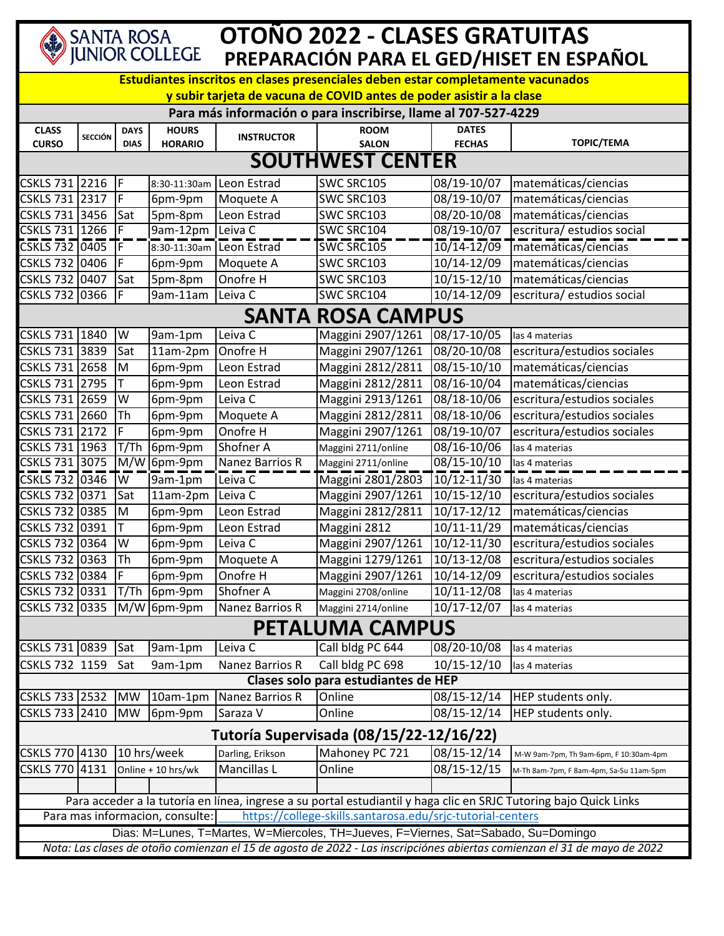| SANTA ROSA<br>JUNIOR COLLEGE                                                                                                 |                                                                                                                   |             |                    | OTONO 2022 - CLASES GRATUITAS |                                     |                                 |                                         |  |  |  |  |  |
|------------------------------------------------------------------------------------------------------------------------------|-------------------------------------------------------------------------------------------------------------------|-------------|--------------------|-------------------------------|-------------------------------------|---------------------------------|-----------------------------------------|--|--|--|--|--|
| PREPARACIÓN PARA EL GED/HISET EN ESPAÑOL<br>Estudiantes inscritos en clases presenciales deben estar completamente vacunados |                                                                                                                   |             |                    |                               |                                     |                                 |                                         |  |  |  |  |  |
| y subir tarjeta de vacuna de COVID antes de poder asistir a la clase                                                         |                                                                                                                   |             |                    |                               |                                     |                                 |                                         |  |  |  |  |  |
| Para más información o para inscribirse, llame al 707-527-4229                                                               |                                                                                                                   |             |                    |                               |                                     |                                 |                                         |  |  |  |  |  |
| <b>CLASS</b>                                                                                                                 | <b>SECCIÓN</b>                                                                                                    | <b>DAYS</b> | <b>HOURS</b>       | <b>INSTRUCTOR</b>             | <b>ROOM</b>                         | <b>DATES</b>                    |                                         |  |  |  |  |  |
| <b>CURSO</b>                                                                                                                 |                                                                                                                   | <b>DIAS</b> | <b>HORARIO</b>     |                               | <b>SALON</b>                        | <b>FECHAS</b>                   | <b>TOPIC/TEMA</b>                       |  |  |  |  |  |
| <b>SOUTHWEST CENTER</b>                                                                                                      |                                                                                                                   |             |                    |                               |                                     |                                 |                                         |  |  |  |  |  |
| CSKLS 731 2216                                                                                                               |                                                                                                                   | IF          | 8:30-11:30am       | Leon Estrad                   | SWC SRC105                          | 08/19-10/07                     | matemáticas/ciencias                    |  |  |  |  |  |
| CSKLS 731 2317                                                                                                               |                                                                                                                   | IF          | 6pm-9pm            | Moquete A                     | SWC SRC103                          | 08/19-10/07                     | matemáticas/ciencias                    |  |  |  |  |  |
| CSKLS 731 3456                                                                                                               |                                                                                                                   | Sat         | 5pm-8pm            | Leon Estrad                   | SWC SRC103                          | 08/20-10/08                     | matemáticas/ciencias                    |  |  |  |  |  |
| CSKLS 731 1266                                                                                                               |                                                                                                                   | ΙF          | 9am-12pm           | Leiva C                       | SWC SRC104                          | 08/19-10/07                     | escritura/ estudios social              |  |  |  |  |  |
| $\overline{\text{CSKLS}}$ 732 0405                                                                                           |                                                                                                                   | IF          | 8:30-11:30am       | Leon Estrad                   | SWC SRC105                          | $\frac{1}{10}{\sqrt{14-12/09}}$ | matemáticas/ciencias                    |  |  |  |  |  |
| <b>CSKLS 732</b>                                                                                                             | 0406                                                                                                              | I۴          | 6pm-9pm            | Moquete A                     | SWC SRC103                          | 10/14-12/09                     | matemáticas/ciencias                    |  |  |  |  |  |
| CSKLS 732                                                                                                                    | 0407                                                                                                              | Sat         | 5pm-8pm            | Onofre H                      | SWC SRC103                          | 10/15-12/10                     | matemáticas/ciencias                    |  |  |  |  |  |
| <b>CSKLS 732</b>                                                                                                             | 0366                                                                                                              | IF          | 9am-11am           | Leiva C                       | SWC SRC104                          | 10/14-12/09                     | escritura/ estudios social              |  |  |  |  |  |
| <b>SANTA ROSA CAMPUS</b>                                                                                                     |                                                                                                                   |             |                    |                               |                                     |                                 |                                         |  |  |  |  |  |
| <b>CSKLS 731</b>                                                                                                             | 1840                                                                                                              | W           | 9am-1pm            | Leiva C                       | Maggini 2907/1261                   | 08/17-10/05                     | las 4 materias                          |  |  |  |  |  |
| CSKLS 731 3839                                                                                                               |                                                                                                                   | Sat         | 11am-2pm           | Onofre H                      | Maggini 2907/1261                   | 08/20-10/08                     | escritura/estudios sociales             |  |  |  |  |  |
| <b>CSKLS 731</b>                                                                                                             | 2658                                                                                                              | M           | 6pm-9pm            | Leon Estrad                   | Maggini 2812/2811                   | 08/15-10/10                     | matemáticas/ciencias                    |  |  |  |  |  |
| CSKLS 731 2795                                                                                                               |                                                                                                                   | Iт          | 6pm-9pm            | Leon Estrad                   | Maggini 2812/2811                   | 08/16-10/04                     | matemáticas/ciencias                    |  |  |  |  |  |
| CSKLS 731 2659                                                                                                               |                                                                                                                   | W           | 6pm-9pm            | Leiva C                       | Maggini 2913/1261                   | 08/18-10/06                     | escritura/estudios sociales             |  |  |  |  |  |
| CSKLS 731 2660                                                                                                               |                                                                                                                   | Th          | 6pm-9pm            | Moquete A                     | Maggini 2812/2811                   | 08/18-10/06                     | escritura/estudios sociales             |  |  |  |  |  |
| CSKLS 731 2172                                                                                                               |                                                                                                                   | F           | 6pm-9pm            | Onofre H                      | Maggini 2907/1261                   | 08/19-10/07                     | escritura/estudios sociales             |  |  |  |  |  |
| CSKLS 731 1963                                                                                                               |                                                                                                                   | T/Th        | 6pm-9pm            | Shofner A                     | Maggini 2711/online                 | 08/16-10/06                     | las 4 materias                          |  |  |  |  |  |
| CSKLS 731 3075                                                                                                               |                                                                                                                   | M/W         | 6pm-9pm            | Nanez Barrios R               | Maggini 2711/online                 | $08/15 - 10/10$                 | las 4 materias                          |  |  |  |  |  |
| CSKLS 732 0346                                                                                                               |                                                                                                                   | <b>W</b>    | 9am-1pm            | Leiva C                       | Maggini 2801/2803                   | 10/12-11/30                     | las 4 materias                          |  |  |  |  |  |
| <b>CSKLS 732</b>                                                                                                             | 0371                                                                                                              | Sat         | 11am-2pm           | Leiva C                       | Maggini 2907/1261                   | $10/15 - 12/10$                 | escritura/estudios sociales             |  |  |  |  |  |
| CSKLS 732 0385                                                                                                               |                                                                                                                   | M           | 6pm-9pm            | Leon Estrad                   | Maggini 2812/2811                   | $10/17 - 12/12$                 | matemáticas/ciencias                    |  |  |  |  |  |
| <b>CSKLS 732</b>                                                                                                             | 0391                                                                                                              | Iт          | 6pm-9pm            | Leon Estrad                   | Maggini 2812                        | 10/11-11/29                     | matemáticas/ciencias                    |  |  |  |  |  |
| CSKLS 732 0364                                                                                                               |                                                                                                                   | W           | 6pm-9pm            | Leiva C                       | Maggini 2907/1261                   | 10/12-11/30                     | escritura/estudios sociales             |  |  |  |  |  |
| CSKLS 732 0363                                                                                                               |                                                                                                                   | Th          | 6pm-9pm            | Moquete A                     | Maggini 1279/1261                   | 10/13-12/08                     | escritura/estudios sociales             |  |  |  |  |  |
| CSKLS 732 0384                                                                                                               |                                                                                                                   | IF.         | 6pm-9pm            | Onofre H                      | Maggini 2907/1261                   | 10/14-12/09                     | escritura/estudios sociales             |  |  |  |  |  |
| CSKLS 732 0331                                                                                                               |                                                                                                                   | T/Th        | 6pm-9pm            | Shofner A                     | Maggini 2708/online                 | 10/11-12/08                     | las 4 materias                          |  |  |  |  |  |
| CSKLS 732 0335                                                                                                               |                                                                                                                   | M/W         | 6pm-9pm            | Nanez Barrios R               | Maggini 2714/online                 | 10/17-12/07                     | las 4 materias                          |  |  |  |  |  |
| <b>PETALUMA CAMPUS</b>                                                                                                       |                                                                                                                   |             |                    |                               |                                     |                                 |                                         |  |  |  |  |  |
| CSKLS 731 0839                                                                                                               |                                                                                                                   | Sat         | 9am-1pm            | Leiva C                       | Call bldg PC 644                    | 08/20-10/08                     | las 4 materias                          |  |  |  |  |  |
| CSKLS 732 1159                                                                                                               |                                                                                                                   | Sat         | 9am-1pm            | Nanez Barrios R               | Call bldg PC 698                    | 10/15-12/10                     | las 4 materias                          |  |  |  |  |  |
|                                                                                                                              |                                                                                                                   |             |                    |                               | Clases solo para estudiantes de HEP |                                 |                                         |  |  |  |  |  |
| CSKLS 733                                                                                                                    | 2532                                                                                                              | <b>MW</b>   | 10am-1pm           | Nanez Barrios R               | Online                              | 08/15-12/14                     | HEP students only.                      |  |  |  |  |  |
| <b>CSKLS 733</b>                                                                                                             | 2410                                                                                                              | <b>MW</b>   | 6pm-9pm            | Saraza V                      | Online                              | 08/15-12/14                     | HEP students only.                      |  |  |  |  |  |
| Tutoría Supervisada (08/15/22-12/16/22)                                                                                      |                                                                                                                   |             |                    |                               |                                     |                                 |                                         |  |  |  |  |  |
| CSKLS 770 4130                                                                                                               |                                                                                                                   |             | 10 hrs/week        | Darling, Erikson              | Mahoney PC 721                      | 08/15-12/14                     | M-W 9am-7pm, Th 9am-6pm, F 10:30am-4pm  |  |  |  |  |  |
| <b>CSKLS 770</b>                                                                                                             | 4131                                                                                                              |             | Online + 10 hrs/wk | Mancillas L                   | Online                              | 08/15-12/15                     | M-Th 8am-7pm, F 8am-4pm, Sa-Su 11am-5pm |  |  |  |  |  |
|                                                                                                                              |                                                                                                                   |             |                    |                               |                                     |                                 |                                         |  |  |  |  |  |
|                                                                                                                              | Para acceder a la tutoría en línea, ingrese a su portal estudiantil y haga clic en SRJC Tutoring bajo Quick Links |             |                    |                               |                                     |                                 |                                         |  |  |  |  |  |
|                                                                                                                              | https://college-skills.santarosa.edu/srjc-tutorial-centers<br>Para mas informacion, consulte:                     |             |                    |                               |                                     |                                 |                                         |  |  |  |  |  |
| Dias: M=Lunes, T=Martes, W=Miercoles, TH=Jueves, F=Viernes, Sat=Sabado, Su=Domingo                                           |                                                                                                                   |             |                    |                               |                                     |                                 |                                         |  |  |  |  |  |
| Nota: Las clases de otoño comienzan el 15 de agosto de 2022 - Las inscripciónes abiertas comienzan el 31 de mayo de 2022     |                                                                                                                   |             |                    |                               |                                     |                                 |                                         |  |  |  |  |  |